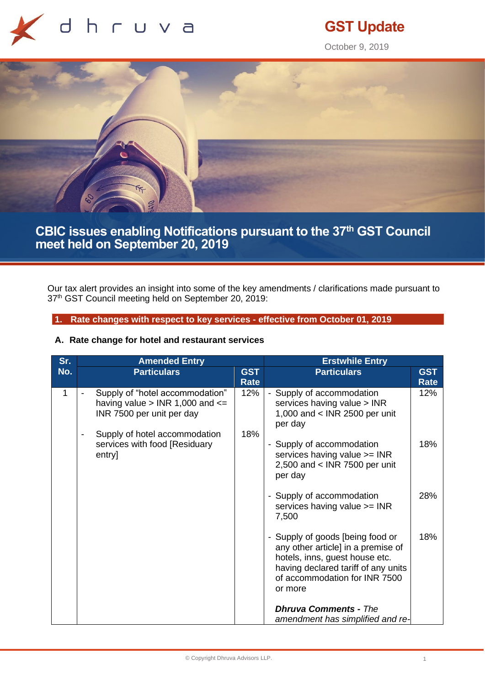

# **GST Update**

October 9, 2019



## **CBIC issues enabling Notifications pursuant to the 37th GST Council meet held on September 20, 2019**

Our tax alert provides an insight into some of the key amendments / clarifications made pursuant to 37<sup>th</sup> GST Council meeting held on September 20, 2019:

### **1. Rate changes with respect to key services - effective from October 01, 2019**

### **A. Rate change for hotel and restaurant services**

| Sr. | <b>Amended Entry</b>                                                                                |                           | <b>Erstwhile Entry</b>                                                                                                                                                                      |                           |
|-----|-----------------------------------------------------------------------------------------------------|---------------------------|---------------------------------------------------------------------------------------------------------------------------------------------------------------------------------------------|---------------------------|
| No. | <b>Particulars</b>                                                                                  | <b>GST</b><br><b>Rate</b> | <b>Particulars</b>                                                                                                                                                                          | <b>GST</b><br><b>Rate</b> |
| 1   | Supply of "hotel accommodation"<br>having value $>$ INR 1,000 and $<=$<br>INR 7500 per unit per day | 12%                       | Supply of accommodation<br>services having value > INR<br>1,000 and < INR 2500 per unit<br>per day                                                                                          | 12%                       |
|     | Supply of hotel accommodation<br>services with food [Residuary<br>entry]                            | 18%                       | - Supply of accommodation<br>services having value >= INR<br>2,500 and $<$ INR 7500 per unit<br>per day                                                                                     | 18%                       |
|     |                                                                                                     |                           | - Supply of accommodation<br>services having value >= INR<br>7,500                                                                                                                          | 28%                       |
|     |                                                                                                     |                           | - Supply of goods [being food or<br>any other article] in a premise of<br>hotels, inns, guest house etc.<br>having declared tariff of any units<br>of accommodation for INR 7500<br>or more | 18%                       |
|     |                                                                                                     |                           | <b>Dhruva Comments - The</b><br>amendment has simplified and re-                                                                                                                            |                           |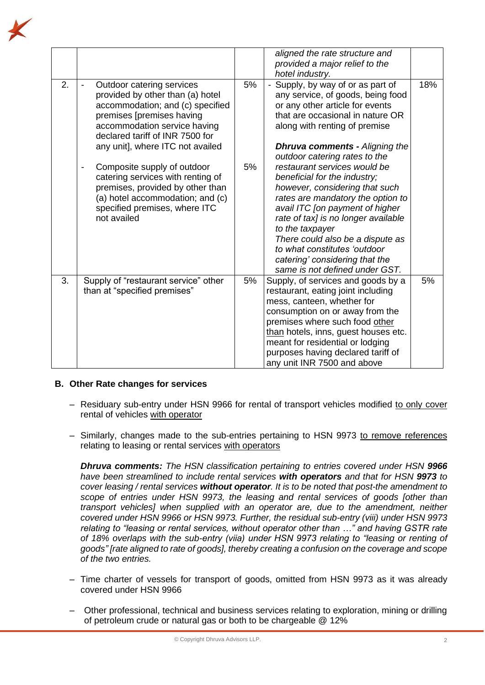

|    |                                                                                                                                                                                                                                       |    | aligned the rate structure and<br>provided a major relief to the<br>hotel industry.                                                                                                                                                                                                                                                                                      |     |
|----|---------------------------------------------------------------------------------------------------------------------------------------------------------------------------------------------------------------------------------------|----|--------------------------------------------------------------------------------------------------------------------------------------------------------------------------------------------------------------------------------------------------------------------------------------------------------------------------------------------------------------------------|-----|
| 2. | Outdoor catering services<br>provided by other than (a) hotel<br>accommodation; and (c) specified<br>premises [premises having<br>accommodation service having<br>declared tariff of INR 7500 for<br>any unit], where ITC not availed | 5% | Supply, by way of or as part of<br>any service, of goods, being food<br>or any other article for events<br>that are occasional in nature OR<br>along with renting of premise<br><b>Dhruva comments - Aligning the</b><br>outdoor catering rates to the                                                                                                                   | 18% |
|    | Composite supply of outdoor<br>catering services with renting of<br>premises, provided by other than<br>(a) hotel accommodation; and (c)<br>specified premises, where ITC<br>not availed                                              | 5% | restaurant services would be<br>beneficial for the industry;<br>however, considering that such<br>rates are mandatory the option to<br>avail ITC [on payment of higher<br>rate of tax] is no longer available<br>to the taxpayer<br>There could also be a dispute as<br>to what constitutes 'outdoor<br>catering' considering that the<br>same is not defined under GST. |     |
| 3. | Supply of "restaurant service" other<br>than at "specified premises"                                                                                                                                                                  | 5% | Supply, of services and goods by a<br>restaurant, eating joint including<br>mess, canteen, whether for<br>consumption on or away from the<br>premises where such food other<br>than hotels, inns, guest houses etc.<br>meant for residential or lodging<br>purposes having declared tariff of<br>any unit INR 7500 and above                                             | 5%  |

### **B. Other Rate changes for services**

- Residuary sub-entry under HSN 9966 for rental of transport vehicles modified to only cover rental of vehicles with operator
- Similarly, changes made to the sub-entries pertaining to HSN 9973 to remove references relating to leasing or rental services with operators

*Dhruva comments: The HSN classification pertaining to entries covered under HSN 9966 have been streamlined to include rental services with operators and that for HSN 9973 to cover leasing / rental services without operator. It is to be noted that post-the amendment to scope of entries under HSN 9973, the leasing and rental services of goods [other than transport vehicles] when supplied with an operator are, due to the amendment, neither covered under HSN 9966 or HSN 9973. Further, the residual sub-entry (viii) under HSN 9973 relating to "leasing or rental services, without operator other than …" and having GSTR rate of 18% overlaps with the sub-entry (viia) under HSN 9973 relating to "leasing or renting of goods" [rate aligned to rate of goods], thereby creating a confusion on the coverage and scope of the two entries.*

- ‒ Time charter of vessels for transport of goods, omitted from HSN 9973 as it was already covered under HSN 9966
- ‒ Other professional, technical and business services relating to exploration, mining or drilling of petroleum crude or natural gas or both to be chargeable @ 12%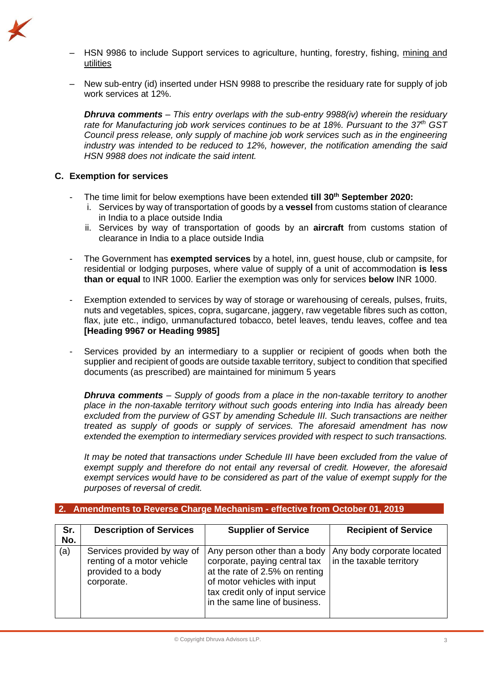

- ‒ HSN 9986 to include Support services to agriculture, hunting, forestry, fishing, mining and utilities
- ‒ New sub-entry (id) inserted under HSN 9988 to prescribe the residuary rate for supply of job work services at 12%.

*Dhruva comments – This entry overlaps with the sub-entry 9988(iv) wherein the residuary rate for Manufacturing job work services continues to be at 18%. Pursuant to the 37th GST Council press release, only supply of machine job work services such as in the engineering industry was intended to be reduced to 12%, however, the notification amending the said HSN 9988 does not indicate the said intent.* 

### **C. Exemption for services**

- The time limit for below exemptions have been extended **till 30th September 2020:**
	- i. Services by way of transportation of goods by a **vessel** from customs station of clearance in India to a place outside India
	- ii. Services by way of transportation of goods by an **aircraft** from customs station of clearance in India to a place outside India
- The Government has **exempted services** by a hotel, inn, guest house, club or campsite, for residential or lodging purposes, where value of supply of a unit of accommodation **is less than or equal** to INR 1000. Earlier the exemption was only for services **below** INR 1000.
- Exemption extended to services by way of storage or warehousing of cereals, pulses, fruits, nuts and vegetables, spices, copra, sugarcane, jaggery, raw vegetable fibres such as cotton, flax, jute etc., indigo, unmanufactured tobacco, betel leaves, tendu leaves, coffee and tea **[Heading 9967 or Heading 9985]**
- Services provided by an intermediary to a supplier or recipient of goods when both the supplier and recipient of goods are outside taxable territory, subject to condition that specified documents (as prescribed) are maintained for minimum 5 years

*Dhruva comments – Supply of goods from a place in the non-taxable territory to another place in the non-taxable territory without such goods entering into India has already been excluded from the purview of GST by amending Schedule III. Such transactions are neither treated as supply of goods or supply of services. The aforesaid amendment has now extended the exemption to intermediary services provided with respect to such transactions.* 

*It may be noted that transactions under Schedule III have been excluded from the value of exempt supply and therefore do not entail any reversal of credit. However, the aforesaid exempt services would have to be considered as part of the value of exempt supply for the purposes of reversal of credit.*

|  |  | 2. Amendments to Reverse Charge Mechanism - effective from October 01, 2019 |  |  |  |  |
|--|--|-----------------------------------------------------------------------------|--|--|--|--|
|--|--|-----------------------------------------------------------------------------|--|--|--|--|

| Sr.<br>No. | <b>Description of Services</b>                                                                | <b>Supplier of Service</b>                                                                                                                                                                           | <b>Recipient of Service</b>                            |
|------------|-----------------------------------------------------------------------------------------------|------------------------------------------------------------------------------------------------------------------------------------------------------------------------------------------------------|--------------------------------------------------------|
| (a)        | Services provided by way of<br>renting of a motor vehicle<br>provided to a body<br>corporate. | Any person other than a body<br>corporate, paying central tax<br>at the rate of 2.5% on renting<br>of motor vehicles with input<br>tax credit only of input service<br>in the same line of business. | Any body corporate located<br>in the taxable territory |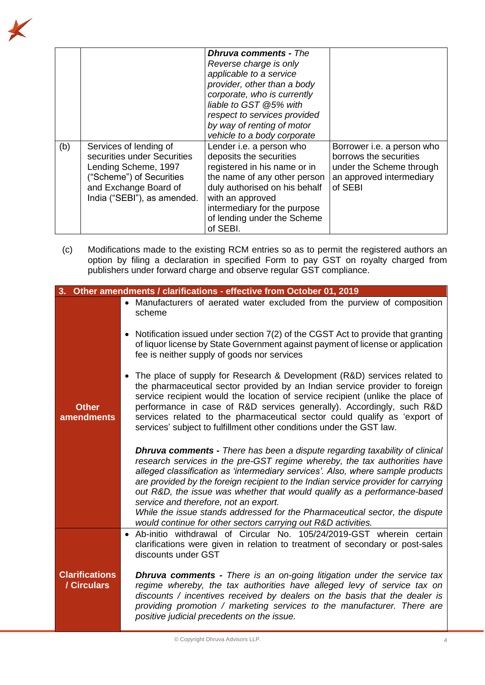|     |                                                                                                                                                                   | <b>Dhruva comments - The</b><br>Reverse charge is only<br>applicable to a service<br>provider, other than a body<br>corporate, who is currently                                                                                                     |                                                                                                                         |
|-----|-------------------------------------------------------------------------------------------------------------------------------------------------------------------|-----------------------------------------------------------------------------------------------------------------------------------------------------------------------------------------------------------------------------------------------------|-------------------------------------------------------------------------------------------------------------------------|
|     |                                                                                                                                                                   | liable to GST @5% with<br>respect to services provided<br>by way of renting of motor<br>vehicle to a body corporate                                                                                                                                 |                                                                                                                         |
| (b) | Services of lending of<br>securities under Securities<br>Lending Scheme, 1997<br>("Scheme") of Securities<br>and Exchange Board of<br>India ("SEBI"), as amended. | Lender i.e. a person who<br>deposits the securities<br>registered in his name or in<br>the name of any other person<br>duly authorised on his behalf<br>with an approved<br>intermediary for the purpose<br>of lending under the Scheme<br>of SEBI. | Borrower i.e. a person who<br>borrows the securities<br>under the Scheme through<br>an approved intermediary<br>of SEBI |

(c) Modifications made to the existing RCM entries so as to permit the registered authors an option by filing a declaration in specified Form to pay GST on royalty charged from publishers under forward charge and observe regular GST compliance.

|                                      | 3. Other amendments / clarifications - effective from October 01, 2019                                                                                                                                                                                                                                                                                                                                                                                                                                                                                                                                      |
|--------------------------------------|-------------------------------------------------------------------------------------------------------------------------------------------------------------------------------------------------------------------------------------------------------------------------------------------------------------------------------------------------------------------------------------------------------------------------------------------------------------------------------------------------------------------------------------------------------------------------------------------------------------|
|                                      | • Manufacturers of aerated water excluded from the purview of composition<br>scheme                                                                                                                                                                                                                                                                                                                                                                                                                                                                                                                         |
|                                      | Notification issued under section 7(2) of the CGST Act to provide that granting<br>$\bullet$<br>of liquor license by State Government against payment of license or application<br>fee is neither supply of goods nor services                                                                                                                                                                                                                                                                                                                                                                              |
| <b>Other</b><br><b>amendments</b>    | The place of supply for Research & Development (R&D) services related to<br>$\bullet$<br>the pharmaceutical sector provided by an Indian service provider to foreign<br>service recipient would the location of service recipient (unlike the place of<br>performance in case of R&D services generally). Accordingly, such R&D<br>services related to the pharmaceutical sector could qualify as 'export of<br>services' subject to fulfillment other conditions under the GST law.                                                                                                                        |
|                                      | <b>Dhruva comments -</b> There has been a dispute regarding taxability of clinical<br>research services in the pre-GST regime whereby, the tax authorities have<br>alleged classification as 'intermediary services'. Also, where sample products<br>are provided by the foreign recipient to the Indian service provider for carrying<br>out R&D, the issue was whether that would qualify as a performance-based<br>service and therefore, not an export.<br>While the issue stands addressed for the Pharmaceutical sector, the dispute<br>would continue for other sectors carrying out R&D activities. |
|                                      | Ab-initio withdrawal of Circular No. 105/24/2019-GST wherein certain<br>$\bullet$<br>clarifications were given in relation to treatment of secondary or post-sales<br>discounts under GST                                                                                                                                                                                                                                                                                                                                                                                                                   |
| <b>Clarifications</b><br>/ Circulars | <b>Dhruva comments</b> - There is an on-going litigation under the service tax<br>regime whereby, the tax authorities have alleged levy of service tax on<br>discounts / incentives received by dealers on the basis that the dealer is<br>providing promotion / marketing services to the manufacturer. There are<br>positive judicial precedents on the issue.                                                                                                                                                                                                                                            |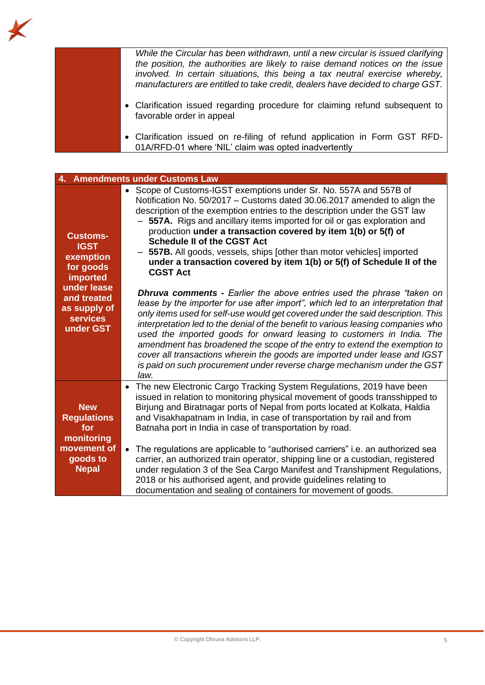*While the Circular has been withdrawn, until a new circular is issued clarifying the position, the authorities are likely to raise demand notices on the issue involved. In certain situations, this being a tax neutral exercise whereby, manufacturers are entitled to take credit, dealers have decided to charge GST.* 

- Clarification issued regarding procedure for claiming refund subsequent to favorable order in appeal
- Clarification issued on re-filing of refund application in Form GST RFD-01A/RFD-01 where 'NIL' claim was opted inadvertently

| 4. Amendments under Customs Law                                                                                                                    |                                                                                                                                                                                                                                                                                                                                                                                                                                                                                                                                                                                                                                                                                                                                                                                                                                                                                                                                                                                                                                                                                                                                                                                                                                                      |  |  |  |
|----------------------------------------------------------------------------------------------------------------------------------------------------|------------------------------------------------------------------------------------------------------------------------------------------------------------------------------------------------------------------------------------------------------------------------------------------------------------------------------------------------------------------------------------------------------------------------------------------------------------------------------------------------------------------------------------------------------------------------------------------------------------------------------------------------------------------------------------------------------------------------------------------------------------------------------------------------------------------------------------------------------------------------------------------------------------------------------------------------------------------------------------------------------------------------------------------------------------------------------------------------------------------------------------------------------------------------------------------------------------------------------------------------------|--|--|--|
| <b>Customs-</b><br><b>IGST</b><br>exemption<br>for goods<br>imported<br>under lease<br>and treated<br>as supply of<br><b>services</b><br>under GST | • Scope of Customs-IGST exemptions under Sr. No. 557A and 557B of<br>Notification No. 50/2017 - Customs dated 30.06.2017 amended to align the<br>description of the exemption entries to the description under the GST law<br>557A. Rigs and ancillary items imported for oil or gas exploration and<br>production under a transaction covered by item 1(b) or 5(f) of<br><b>Schedule II of the CGST Act</b><br>557B. All goods, vessels, ships [other than motor vehicles] imported<br>under a transaction covered by item 1(b) or 5(f) of Schedule II of the<br><b>CGST Act</b><br><b>Dhruva comments - Earlier the above entries used the phrase "taken on</b><br>lease by the importer for use after import", which led to an interpretation that<br>only items used for self-use would get covered under the said description. This<br>interpretation led to the denial of the benefit to various leasing companies who<br>used the imported goods for onward leasing to customers in India. The<br>amendment has broadened the scope of the entry to extend the exemption to<br>cover all transactions wherein the goods are imported under lease and IGST<br>is paid on such procurement under reverse charge mechanism under the GST<br>law. |  |  |  |
| <b>New</b><br><b>Regulations</b><br>for<br>monitoring<br>movement of<br>goods to<br><b>Nepal</b>                                                   | The new Electronic Cargo Tracking System Regulations, 2019 have been<br>$\bullet$<br>issued in relation to monitoring physical movement of goods transshipped to<br>Birjung and Biratnagar ports of Nepal from ports located at Kolkata, Haldia<br>and Visakhapatnam in India, in case of transportation by rail and from<br>Batnaha port in India in case of transportation by road.<br>The regulations are applicable to "authorised carriers" i.e. an authorized sea<br>$\bullet$<br>carrier, an authorized train operator, shipping line or a custodian, registered<br>under regulation 3 of the Sea Cargo Manifest and Transhipment Regulations,<br>2018 or his authorised agent, and provide guidelines relating to<br>documentation and sealing of containers for movement of goods.                                                                                                                                                                                                                                                                                                                                                                                                                                                          |  |  |  |